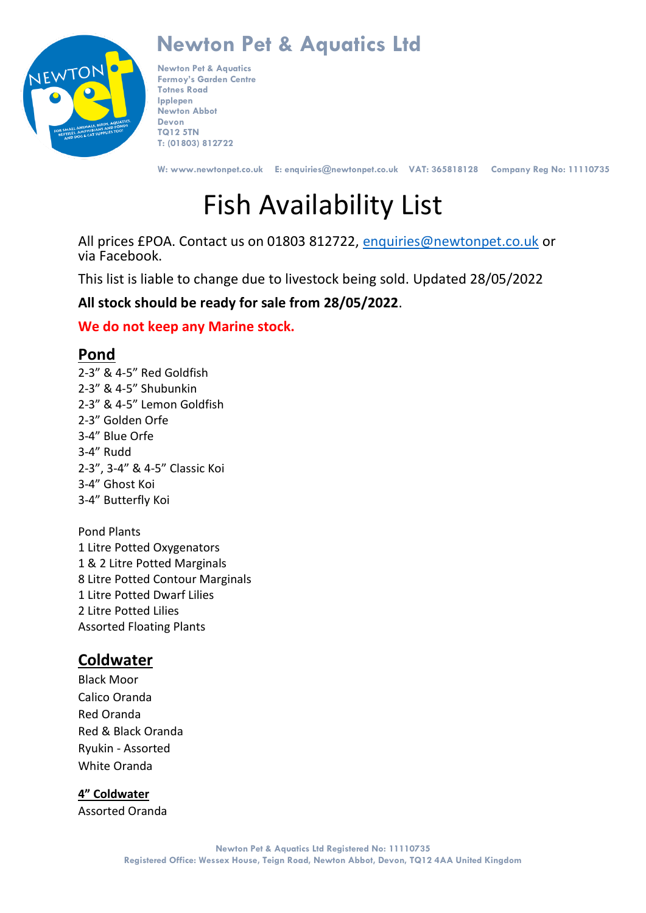

**Newton Pet & Aquatics Fermoy's Garden Centre Totnes Road Ipplepen Newton Abbot Devon TQ12 5TN T: (01803) 812722**

**W: www.newtonpet.co.uk E: enquiries@newtonpet.co.uk VAT: 365818128 Company Reg No: 11110735**

# Fish Availability List

All prices £POA. Contact us on 01803 812722, [enquiries@newtonpet.co.uk](mailto:enquiries@newtonpet.co.uk) or via Facebook.

This list is liable to change due to livestock being sold. Updated 28/05/2022

### **All stock should be ready for sale from 28/05/2022**.

### **We do not keep any Marine stock.**

### **Pond**

2-3" & 4-5" Red Goldfish 2-3" & 4-5" Shubunkin 2-3" & 4-5" Lemon Goldfish 2-3" Golden Orfe 3-4" Blue Orfe 3-4" Rudd 2-3", 3-4" & 4-5" Classic Koi 3-4" Ghost Koi 3-4" Butterfly Koi

Pond Plants 1 Litre Potted Oxygenators 1 & 2 Litre Potted Marginals 8 Litre Potted Contour Marginals 1 Litre Potted Dwarf Lilies 2 Litre Potted Lilies Assorted Floating Plants

### **Coldwater**

Black Moor Calico Oranda Red Oranda Red & Black Oranda Ryukin - Assorted White Oranda

**4" Coldwater**

Assorted Oranda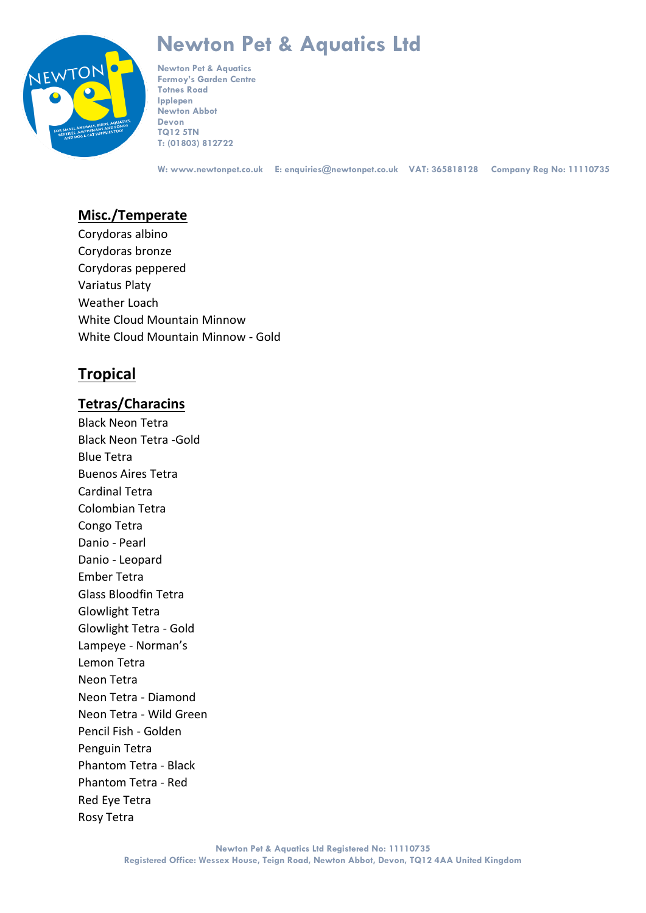

**Newton Pet & Aquatics Fermoy's Garden Centre Totnes Road Ipplepen Newton Abbot Devon TQ12 5TN T: (01803) 812722**

**W: www.newtonpet.co.uk E: enquiries@newtonpet.co.uk VAT: 365818128 Company Reg No: 11110735**

### **Misc./Temperate**

Corydoras albino Corydoras bronze Corydoras peppered Variatus Platy Weather Loach White Cloud Mountain Minnow White Cloud Mountain Minnow - Gold

### **Tropical**

### **Tetras/Characins**

Black Neon Tetra Black Neon Tetra -Gold Blue Tetra Buenos Aires Tetra Cardinal Tetra Colombian Tetra Congo Tetra Danio - Pearl Danio - Leopard Ember Tetra Glass Bloodfin Tetra Glowlight Tetra Glowlight Tetra - Gold Lampeye - Norman's Lemon Tetra Neon Tetra Neon Tetra - Diamond Neon Tetra - Wild Green Pencil Fish - Golden Penguin Tetra Phantom Tetra - Black Phantom Tetra - Red Red Eye Tetra Rosy Tetra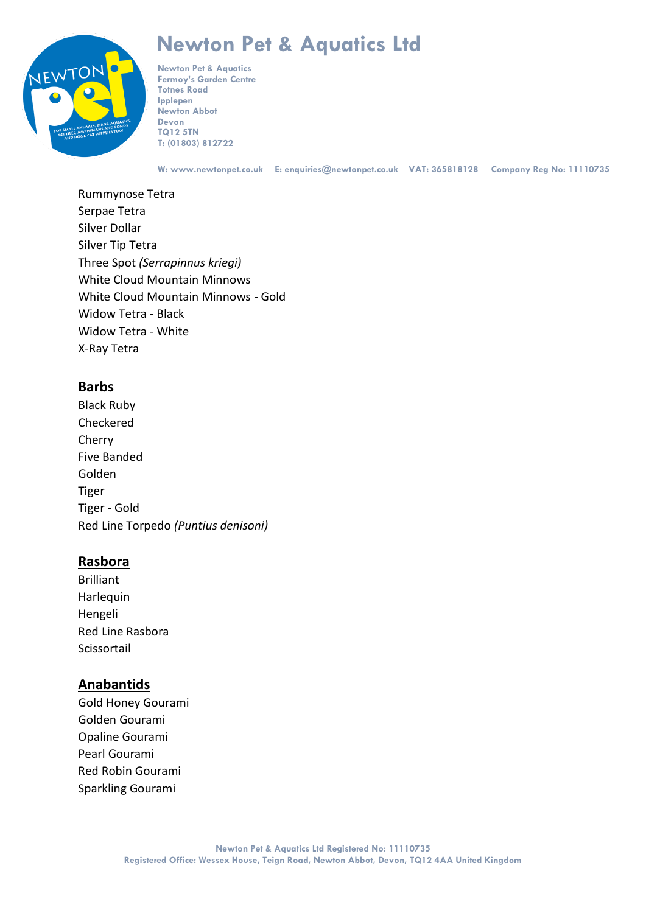# TOI

## **Newton Pet & Aquatics Ltd**

**Newton Pet & Aquatics Fermoy's Garden Centre Totnes Road Ipplepen Newton Abbot Devon TQ12 5TN T: (01803) 812722**

**W: www.newtonpet.co.uk E: enquiries@newtonpet.co.uk VAT: 365818128 Company Reg No: 11110735**

Rummynose Tetra Serpae Tetra Silver Dollar Silver Tip Tetra Three Spot *(Serrapinnus kriegi)* White Cloud Mountain Minnows White Cloud Mountain Minnows - Gold Widow Tetra - Black Widow Tetra - White X-Ray Tetra

### **Barbs**

Black Ruby Checkered Cherry Five Banded Golden Tiger Tiger - Gold Red Line Torpedo *(Puntius denisoni)*

### **Rasbora**

Brilliant Harlequin Hengeli Red Line Rasbora Scissortail

### **Anabantids**

Gold Honey Gourami Golden Gourami Opaline Gourami Pearl Gourami Red Robin Gourami Sparkling Gourami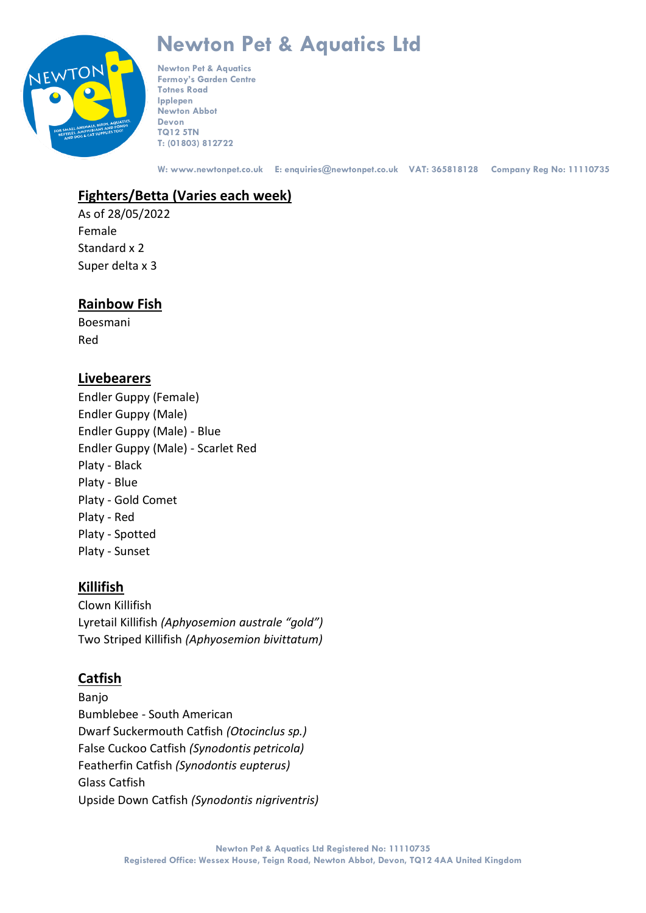

**Newton Pet & Aquatics Fermoy's Garden Centre Totnes Road Ipplepen Newton Abbot Devon TQ12 5TN T: (01803) 812722**

**W: www.newtonpet.co.uk E: enquiries@newtonpet.co.uk VAT: 365818128 Company Reg No: 11110735**

### **Fighters/Betta (Varies each week)**

As of 28/05/2022 Female Standard x 2 Super delta x 3

### **Rainbow Fish**

Boesmani Red

### **Livebearers**

Endler Guppy (Female) Endler Guppy (Male) Endler Guppy (Male) - Blue Endler Guppy (Male) - Scarlet Red Platy - Black Platy - Blue Platy - Gold Comet Platy - Red Platy - Spotted Platy - Sunset

### **Killifish**

Clown Killifish Lyretail Killifish *(Aphyosemion australe "gold")* Two Striped Killifish *(Aphyosemion bivittatum)*

### **Catfish**

Banjo Bumblebee - South American Dwarf Suckermouth Catfish *(Otocinclus sp.)* False Cuckoo Catfish *(Synodontis petricola)* Featherfin Catfish *(Synodontis eupterus)* Glass Catfish Upside Down Catfish *(Synodontis nigriventris)*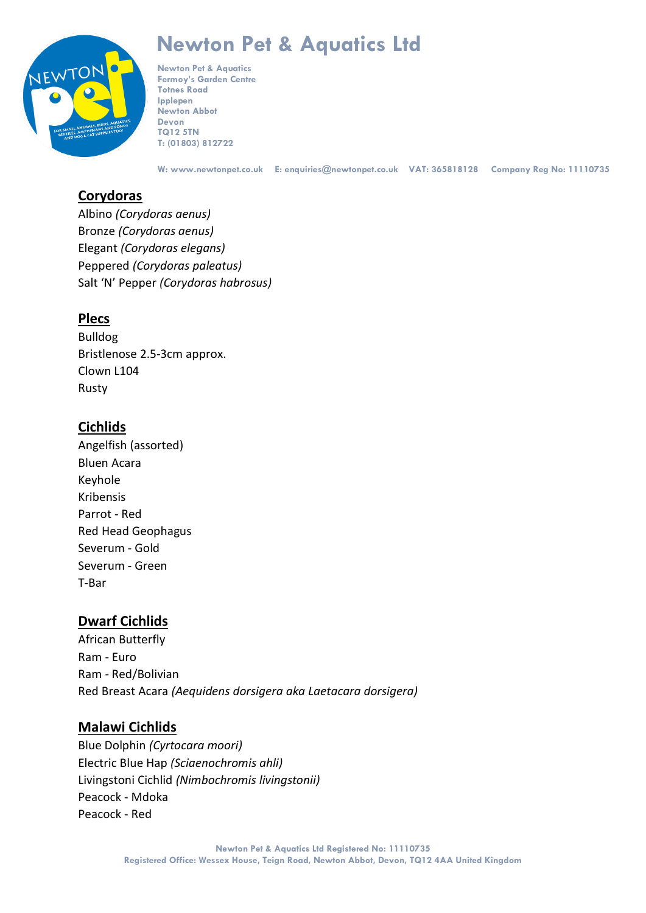

**Newton Pet & Aquatics Fermoy's Garden Centre Totnes Road Ipplepen Newton Abbot Devon TQ12 5TN T: (01803) 812722**

**W: www.newtonpet.co.uk E: enquiries@newtonpet.co.uk VAT: 365818128 Company Reg No: 11110735**

### **Corydoras**

Albino *(Corydoras aenus)* Bronze *(Corydoras aenus)* Elegant *(Corydoras elegans)* Peppered *(Corydoras paleatus)* Salt 'N' Pepper *(Corydoras habrosus)*

### **Plecs**

Bulldog Bristlenose 2.5-3cm approx. Clown L104 Rusty

### **Cichlids**

Angelfish (assorted) Bluen Acara Keyhole Kribensis Parrot - Red Red Head Geophagus Severum - Gold Severum - Green T-Bar

### **Dwarf Cichlids**

African Butterfly Ram - Euro Ram - Red/Bolivian Red Breast Acara *(Aequidens dorsigera aka Laetacara dorsigera)*

### **Malawi Cichlids**

Blue Dolphin *(Cyrtocara moori)* Electric Blue Hap *(Sciaenochromis ahli)* Livingstoni Cichlid *(Nimbochromis livingstonii)* Peacock - Mdoka Peacock - Red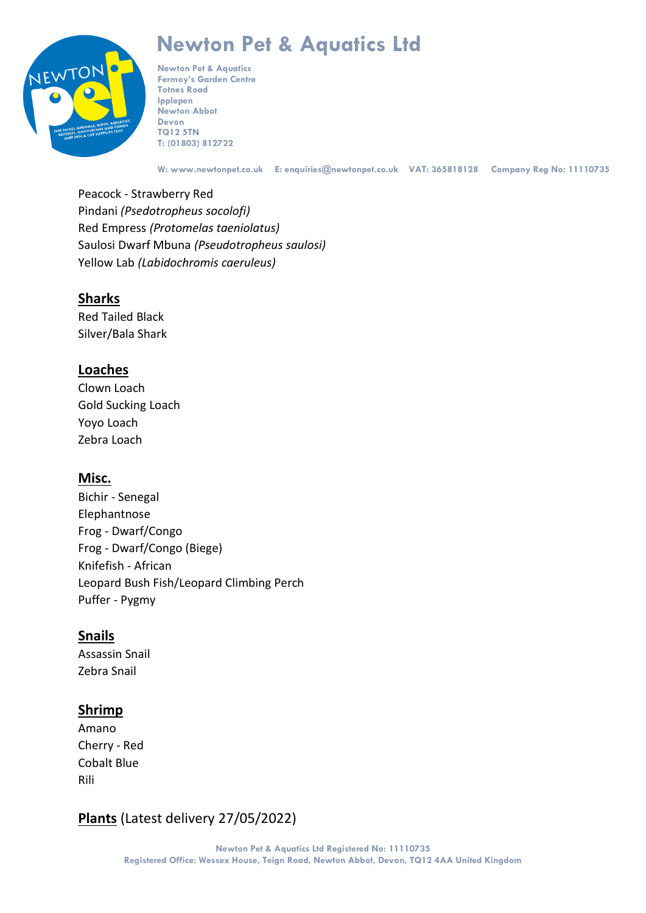

**Newton Pet & Aquatics Fermoy's Garden Centre Totnes Road Ipplepen Newton Abbot Devon TQ12 5TN T: (01803) 812722**

**W: www.newtonpet.co.uk E: enquiries@newtonpet.co.uk VAT: 365818128 Company Reg No: 11110735**

Peacock - Strawberry Red Pindani *(Psedotropheus socolofi)* Red Empress *(Protomelas taeniolatus)* Saulosi Dwarf Mbuna *(Pseudotropheus saulosi)* Yellow Lab *(Labidochromis caeruleus)*

### **Sharks**

Red Tailed Black Silver/Bala Shark

### **Loaches**

Clown Loach Gold Sucking Loach Yoyo Loach Zebra Loach

### **Misc.**

Bichir - Senegal Elephantnose Frog - Dwarf/Congo Frog - Dwarf/Congo (Biege) Knifefish - African Leopard Bush Fish/Leopard Climbing Perch Puffer - Pygmy

### **Snails**

Assassin Snail Zebra Snail

### **Shrimp**

Amano Cherry - Red Cobalt Blue Rili

**Plants** (Latest delivery 27/05/2022)